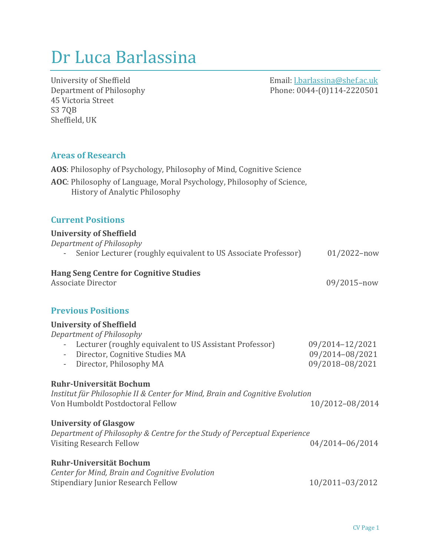# Dr Luca Barlassina

45 Victoria Street S3 7QB Sheffield, UK

University of Sheffield **and Computers** Computers and Computers and Computers and Computers and Computers and Computers and Computers and Computers and Computers and Computers and Computers and Computers and Computers and Department of Philosophy Phone: 0044-(0)114-2220501

# **Areas of Research**

AOS: Philosophy of Psychology, Philosophy of Mind, Cognitive Science AOC: Philosophy of Language, Moral Psychology, Philosophy of Science, History of Analytic Philosophy

## **Current Positions**

#### **University of Sheffield**

| Department of Philosophy |                                                                |                 |
|--------------------------|----------------------------------------------------------------|-----------------|
|                          | Senior Lecturer (roughly equivalent to US Associate Professor) | $01/2022 - now$ |
|                          |                                                                |                 |

# **Hang Seng Centre for Cognitive Studies**

Associate Director 09/2015–now

# **Previous Positions**

| <b>University of Sheffield</b>                                                      |                 |
|-------------------------------------------------------------------------------------|-----------------|
| Department of Philosophy                                                            |                 |
| Lecturer (roughly equivalent to US Assistant Professor)<br>$\overline{\phantom{a}}$ | 09/2014-12/2021 |
| Director, Cognitive Studies MA                                                      | 09/2014-08/2021 |
| Director, Philosophy MA<br>$\overline{\phantom{a}}$                                 | 09/2018-08/2021 |
|                                                                                     |                 |
| Ruhr-Universität Bochum                                                             |                 |
| Institut für Philosophie II & Center for Mind, Brain and Cognitive Evolution        |                 |
| Von Humboldt Postdoctoral Fellow                                                    | 10/2012-08/2014 |
|                                                                                     |                 |
| <b>University of Glasgow</b>                                                        |                 |
| Department of Philosophy & Centre for the Study of Perceptual Experience            |                 |
| <b>Visiting Research Fellow</b>                                                     | 04/2014-06/2014 |
|                                                                                     |                 |
| Ruhr-Universität Bochum                                                             |                 |
| Center for Mind, Brain and Cognitive Evolution                                      |                 |

Stipendiary Junior Research Fellow 10/2011–03/2012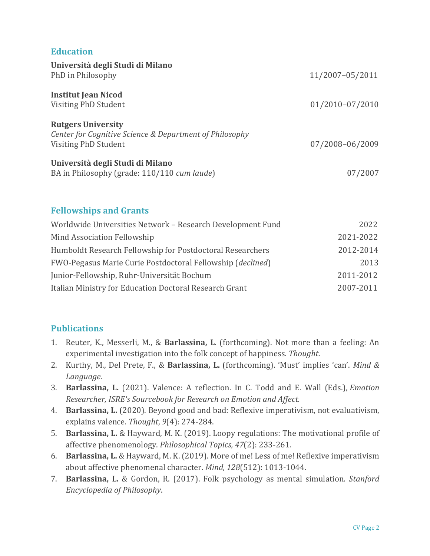# **Education**

| Università degli Studi di Milano<br>PhD in Philosophy                                                        | 11/2007-05/2011 |
|--------------------------------------------------------------------------------------------------------------|-----------------|
| <b>Institut Jean Nicod</b><br>Visiting PhD Student                                                           | 01/2010-07/2010 |
| <b>Rutgers University</b><br>Center for Cognitive Science & Department of Philosophy<br>Visiting PhD Student | 07/2008-06/2009 |
| Università degli Studi di Milano<br>BA in Philosophy (grade: 110/110 cum laude)                              | 07/2007         |

## **Fellowships and Grants**

| Worldwide Universities Network - Research Development Fund | 2022      |
|------------------------------------------------------------|-----------|
| Mind Association Fellowship                                | 2021-2022 |
| Humboldt Research Fellowship for Postdoctoral Researchers  | 2012-2014 |
| FWO-Pegasus Marie Curie Postdoctoral Fellowship (declined) | 2013      |
| Junior-Fellowship, Ruhr-Universität Bochum                 | 2011-2012 |
| Italian Ministry for Education Doctoral Research Grant     | 2007-2011 |

# **Publications**

- 1. Reuter, K., Messerli, M., & Barlassina, L. (forthcoming). Not more than a feeling: An experimental investigation into the folk concept of happiness. Thought.
- 2. Kurthy, M., Del Prete, F., & Barlassina, L. (forthcoming). 'Must' implies 'can'. *Mind & Language*.
- 3. Barlassina, L. (2021). Valence: A reflection. In C. Todd and E. Wall (Eds.), *Emotion* **Researcher, ISRE's Sourcebook for Research on Emotion and Affect.**
- 4. **Barlassina, L.** (2020). Beyond good and bad: Reflexive imperativism, not evaluativism, explains valence. Thought, 9(4): 274-284.
- 5. **Barlassina, L.** & Hayward, M. K. (2019). Loopy regulations: The motivational profile of affective phenomenology. *Philosophical Topics*, 47(2): 233-261.
- 6. **Barlassina, L.** & Hayward, M. K. (2019). More of me! Less of me! Reflexive imperativism about affective phenomenal character. *Mind, 128*(512): 1013-1044.
- 7. **Barlassina, L.** & Gordon, R. (2017). Folk psychology as mental simulation. *Stanford Encyclopedia of Philosophy*.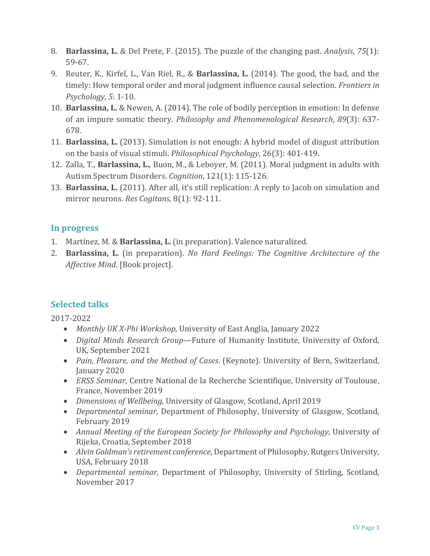- 8. **Barlassina, L.** & Del Prete, F. (2015). The puzzle of the changing past. *Analysis*, 75(1): 59-67.
- 9. Reuter, K., Kirfel, L., Van Riel, R., & **Barlassina, L.** (2014). The good, the bad, and the timely: How temporal order and moral judgment influence causal selection. *Frontiers in Psychology*, 5: 1-10.
- 10. **Barlassina, L.** & Newen, A. (2014). The role of bodily perception in emotion: In defense of an impure somatic theory. *Philosophy and Phenomenological Research*, 89(3): 637-678.
- 11. **Barlassina, L.** (2013). Simulation is not enough: A hybrid model of disgust attribution on the basis of visual stimuli. *Philosophical Psychology*, 26(3): 401-419.
- 12. Zalla, T., Barlassina, L., Buon, M., & Leboyer, M. (2011). Moral judgment in adults with Autism Spectrum Disorders. *Cognition*, 121(1): 115-126.
- 13. **Barlassina, L.** (2011). After all, it's still replication: A reply to Jacob on simulation and mirror neurons. *Res Cogitans*, 8(1): 92-111.

# **In progress**

- 1. Martínez, M. & **Barlassina, L.** (in preparation). Valence naturalized.
- 2. **Barlassina, L.** (in preparation). *No Hard Feelings: The Cognitive Architecture of the Affective Mind.* [Book project].

# **Selected talks**

2017-2022

- *Monthly UK X-Phi Workshop*, University of East Anglia, January 2022
- *Digital Minds Research Group*—Future of Humanity Institute, University of Oxford, UK, September 2021
- *Pain, Pleasure, and the Method of Cases.* (Keynote). University of Bern, Switzerland, January 2020
- *ERSS Seminar*, Centre National de la Recherche Scientifique, University of Toulouse, France, November 2019
- *Dimensions of Wellbeing,* University of Glasgow, Scotland, April 2019
- *Departmental seminar,* Department of Philosophy, University of Glasgow, Scotland, February 2019
- *Annual Meeting of the European Society for Philosophy and Psychology*, University of Rijeka, Croatia, September 2018
- *Alvin Goldman's retirement conference*, Department of Philosophy, Rutgers University, USA, February 2018
- *Departmental seminar*, Department of Philosophy, University of Stirling, Scotland, November 2017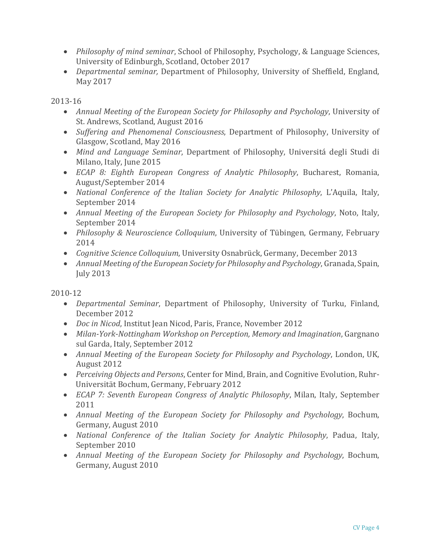- *Philosophy of mind seminar*, School of Philosophy, Psychology, & Language Sciences, University of Edinburgh, Scotland, October 2017
- *Departmental seminar*, Department of Philosophy, University of Sheffield, England, May 2017

2013-16

- Annual Meeting of the European Society for Philosophy and Psychology, University of St. Andrews, Scotland, August 2016
- *Suffering and Phenomenal Consciousness*, Department of Philosophy, University of Glasgow, Scotland, May 2016
- *Mind and Language Seminar*, Department of Philosophy, Universitá degli Studi di Milano, Italy, June 2015
- *ECAP 8: Eighth European Congress of Analytic Philosophy*, Bucharest, Romania, August/September 2014
- *National Conference of the Italian Society for Analytic Philosophy*, L'Aquila, Italy, September 2014
- *Annual Meeting of the European Society for Philosophy and Psychology*, Noto, Italy, September 2014
- *Philosophy & Neuroscience Colloquium*, University of Tübingen, Germany, February 2014
- *Cognitive Science Colloquium*, University Osnabrück, Germany, December 2013
- *Annual Meeting of the European Society for Philosophy and Psychology*, Granada, Spain, July 2013

2010-12

- *Departmental Seminar*, Department of Philosophy, University of Turku, Finland, December 2012
- *Doc in Nicod*, Institut Jean Nicod, Paris, France, November 2012
- *Milan-York-Nottingham Workshop on Perception, Memory and Imagination, Gargnano* sul Garda, Italy, September 2012
- Annual Meeting of the European Society for Philosophy and Psychology, London, UK, August 2012
- *Perceiving Objects and Persons*, Center for Mind, Brain, and Cognitive Evolution, Ruhr-Universität Bochum, Germany, February 2012
- *ECAP 7: Seventh European Congress of Analytic Philosophy*, Milan, Italy, September 2011
- *Annual Meeting of the European Society for Philosophy and Psychology*, Bochum, Germany, August 2010
- *National Conference of the Italian Society for Analytic Philosophy*, Padua, Italy, September 2010
- *Annual Meeting of the European Society for Philosophy and Psychology*, Bochum, Germany, August 2010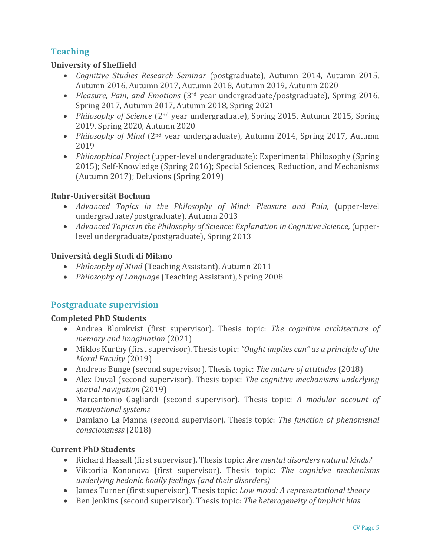# **Teaching**

## **University of Sheffield**

- *Cognitive Studies Research Seminar* (postgraduate), Autumn 2014, Autumn 2015, Autumn 2016, Autumn 2017, Autumn 2018, Autumn 2019, Autumn 2020
- *Pleasure, Pain, and Emotions* (3<sup>rd</sup> year undergraduate/postgraduate), Spring 2016, Spring 2017, Autumn 2017, Autumn 2018, Spring 2021
- *Philosophy of Science* (2<sup>nd</sup> year undergraduate), Spring 2015, Autumn 2015, Spring 2019, Spring 2020, Autumn 2020
- *Philosophy of Mind* (2<sup>nd</sup> year undergraduate), Autumn 2014, Spring 2017, Autumn 2019
- *Philosophical Project* (upper-level undergraduate): Experimental Philosophy (Spring 2015); Self-Knowledge (Spring 2016); Special Sciences, Reduction, and Mechanisms  $(Autumn 2017)$ ; Delusions  $(Spring 2019)$

## **Ruhr-Universität Bochum**

- *Advanced Topics in the Philosophy of Mind: Pleasure and Pain*, (upper-level undergraduate/postgraduate), Autumn 2013
- *Advanced Topics in the Philosophy of Science: Explanation in Cognitive Science*, (upperlevel undergraduate/postgraduate), Spring 2013

## **Università degli Studi di Milano**

- *Philosophy of Mind* (Teaching Assistant), Autumn 2011
- *Philosophy of Language* (Teaching Assistant), Spring 2008

# **Postgraduate supervision**

## **Completed PhD Students**

- Andrea Blomkvist (first supervisor). Thesis topic: *The cognitive architecture of memory and imagination* (2021)
- Miklos Kurthy (first supervisor). Thesis topic: *"Ought implies can"* as a principle of the *Moral Faculty* (2019)
- Andreas Bunge (second supervisor). Thesis topic: *The nature of attitudes* (2018)
- Alex Duval (second supervisor). Thesis topic: *The cognitive mechanisms underlying spatial navigation* (2019)
- Marcantonio Gagliardi (second supervisor). Thesis topic: *A modular account of motivational systems*
- Damiano La Manna (second supervisor). Thesis topic: *The function of phenomenal consciousness* (2018)

# **Current PhD Students**

- Richard Hassall (first supervisor). Thesis topic: *Are mental disorders natural kinds?*
- Viktoriia Kononova (first supervisor). Thesis topic: *The cognitive mechanisms underlying hedonic bodily feelings (and their disorders)*
- James Turner (first supervisor). Thesis topic: *Low mood: A representational theory*
- Ben Jenkins (second supervisor). Thesis topic: *The heterogeneity of implicit bias*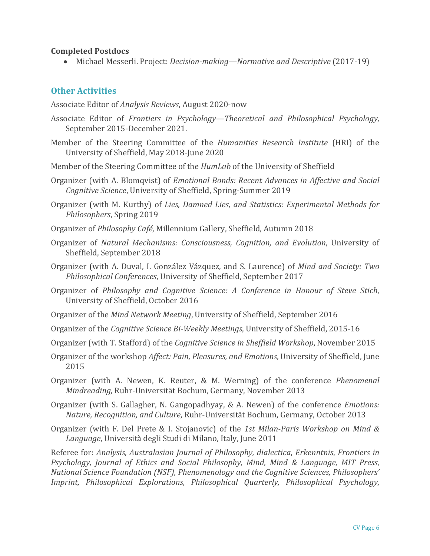#### **Completed Postdocs**

• Michael Messerli. Project: *Decision-making—Normative and Descriptive* (2017-19)

## **Other Activities**

Associate Editor of *Analysis Reviews*, August 2020-now

- Associate Editor of *Frontiers in Psychology—Theoretical and Philosophical Psychology,* September 2015-December 2021.
- Member of the Steering Committee of the *Humanities Research Institute* (HRI) of the University of Sheffield, May 2018-June 2020
- Member of the Steering Committee of the *HumLab* of the University of Sheffield
- Organizer (with A. Blomqvist) of *Emotional Bonds: Recent Advances in Affective and Social Cognitive Science*, University of Sheffield, Spring-Summer 2019

Organizer (with M. Kurthy) of *Lies, Damned Lies, and Statistics: Experimental Methods for* **Philosophers**, Spring 2019

- Organizer of *Philosophy Café*, Millennium Gallery, Sheffield, Autumn 2018
- Organizer of *Natural Mechanisms: Consciousness, Cognition, and Evolution*, University of Sheffield, September 2018
- Organizer (with A. Duval, I. González Vázquez, and S. Laurence) of *Mind and Society: Two Philosophical Conferences*, University of Sheffield, September 2017
- Organizer of *Philosophy and Cognitive Science: A Conference in Honour of Steve Stich*, University of Sheffield, October 2016
- Organizer of the *Mind Network Meeting*, University of Sheffield, September 2016
- Organizer of the *Cognitive Science Bi-Weekly Meetings*, University of Sheffield, 2015-16
- Organizer (with T. Stafford) of the *Cognitive Science in Sheffield Workshop*, November 2015
- Organizer of the workshop *Affect: Pain, Pleasures, and Emotions*, University of Sheffield, June 2015
- Organizer (with A. Newen, K. Reuter, & M. Werning) of the conference *Phenomenal Mindreading, Ruhr-Universität Bochum, Germany, November 2013*
- Organizer (with S. Gallagher, N. Gangopadhyay, & A. Newen) of the conference *Emotions: Nature, Recognition, and Culture, Ruhr-Universität Bochum, Germany, October 2013*
- Organizer (with F. Del Prete & I. Stojanovic) of the 1st Milan-Paris Workshop on Mind & Language, Università degli Studi di Milano, Italy, June 2011

Referee for: *Analysis, Australasian Journal of Philosophy, dialectica, Erkenntnis, Frontiers in Psychology, Journal of Ethics and Social Philosophy, Mind*, *Mind & Language, MIT Press*, *National Science Foundation (NSF), Phenomenology and the Cognitive Sciences, Philosophers' Imprint, Philosophical Explorations, Philosophical Quarterly, Philosophical Psychology*,